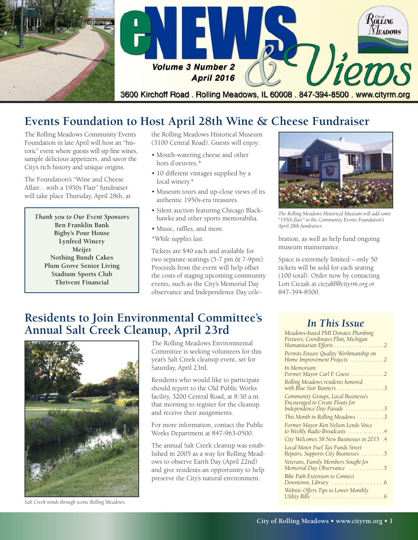

# **Events Foundation to Host April 28th Wine & Cheese Fundraiser**

The Rolling Meadows Community Events Foundation in late April will host an "historic" event where guests will sip fine wines, sample delicious appetizers, and savor the City's rich history and unique origins.

The Foundation's "Wine and Cheese Affair…with a 1950s Flair" fundraiser will take place Thursday, April 28th, at

*Thank you to Our Event Sponsors* **Ben Franklin Bank Bigby's Pour House Lynfred Winery Meijer Nothing Bundt Cakes Plum Grove Senior Living Stadium Sports Club Thrivent Financial**

the Rolling Meadows Historical Museum (3100 Central Road). Guests will enjoy:

- Mouth-watering cheese and other hors d'oeuvres.\*
- 10 different vintages supplied by a local winery.\*
- Museum tours and up-close views of its authentic 1950s-era treasures.
- Silent auction featuring Chicago Blackhawks and other sports memorabilia.
- Music, raffles, and more.
- *\*While supplies last.*

Tickets are \$40 each and available for two separate seatings (5-7 pm & 7-9pm). Proceeds from the event will help offset the costs of staging upcoming community events, such as the City's Memorial Day observance and Independence Day cele-



*The Rolling Meadows Historical Museum will add some "1950s flair" to the Community Events Foundation's April 28th fundraiser.*

bration, as well as help fund ongoing museum maintenance.

Space is extremely limited – only 50 tickets will be sold for each seating (100 total). Order now by contacting Lori Ciezak at *ciezakl@cityrm.org or* 847-394-8500.

#### **Residents to Join Environmental Committee's Annual Salt Creek Cleanup, April 23rd** *In This Issue*



The Rolling Meadows Environmental Committee is seeking volunteers for this year's Salt Creek cleanup event, set for Saturday, April 23rd.

Residents who would like to participate should report to the Old Public Works facility, 3200 Central Road, at 8:30 a.m. that morning to register for the cleanup and receive their assignments.

For more information, contact the Public Works Department at 847-963-0500.

The annual Salt Creek cleanup was established in 2005 as a way for Rolling Meadows to observe Earth Day (April 22nd) and give residents an opportunity to help preserve the City's natural environment.

| Meadows-based PMI Donates Plumbing<br>Fixtures; Coordinates Flint, Michigan<br>Humanitarian Efforts 2                     |
|---------------------------------------------------------------------------------------------------------------------------|
| Permits Ensure Quality Workmanship on<br>Home Improvement Projects 2                                                      |
| In Memoriam:<br>Former Mayor Carl F. Couve 2                                                                              |
| Rolling Meadows residents honored<br>with Blue Star Banners 3                                                             |
| Community Groups, Local Businesses<br>Encouraged to Create Floats for<br>Independence Day Parade 3                        |
| This Month in Rolling Meadows 3                                                                                           |
| Former Mayor Ken Nelson Lends Voice<br>to Weekly Radio Broadcasts 4                                                       |
| City Welcomes 58 New Businesses in 2015 .4                                                                                |
| Local Motor Fuel Tax Funds Street<br>Repairs, Supports City Businesses 5                                                  |
| Veterans, Family Members Sought for<br>Memorial Day Observance 5                                                          |
| <b>Bike Path Extension to Connect</b>                                                                                     |
| Website Offers Tips to Lower Monthly<br>Utility Bills $\dots \dots \dots \dots \dots \dots \dots \dots \dots \dots \dots$ |

*Salt Creek winds through scenic Rolling Meadows.*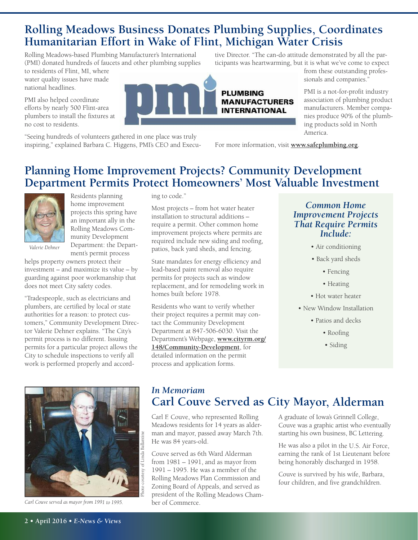### **Rolling Meadows Business Donates Plumbing Supplies, Coordinates Humanitarian Effort in Wake of Flint, Michigan Water Crisis**

Rolling Meadows-based Plumbing Manufacturer's International (PMI) donated hundreds of faucets and other plumbing supplies

to residents of Flint, MI, where water quality issues have made national headlines.

PMI also helped coordinate efforts by nearly 500 Flint-area plumbers to install the fixtures at no cost to residents.

"Seeing hundreds of volunteers gathered in one place was truly inspiring," explained Barbara C. Higgens, PMI's CEO and Executive Director. "The can-do attitude demonstrated by all the participants was heartwarming, but it is what we've come to expect

**PLUMBING MANUFACTURERS INTERNATIONAL** 

from these outstanding professionals and companies."

PMI is a not-for-profit industry association of plumbing product manufacturers. Member companies produce 90% of the plumbing products sold in North America.

For more information, visit **www.safeplumbing.org**.

# **Planning Home Improvement Projects? Community Development Department Permits Protect Homeowners' Most Valuable Investment**



Residents planning home improvement projects this spring have an important ally in the Rolling Meadows Community Development Department: the Department's permit process

*Valerie Dehner*

helps property owners protect their investment – and maximize its value – by guarding against poor workmanship that does not meet City safety codes.

"Tradespeople, such as electricians and plumbers, are certified by local or state authorities for a reason: to protect customers," Community Development Director Valerie Dehner explains. "The City's permit process is no different. Issuing permits for a particular project allows the City to schedule inspections to verify all work is performed properly and accord-



*Carl Couve served as mayor from 1991 to 1995.*

ing to code."

Most projects – from hot water heater installation to structural additions – require a permit. Other common home improvement projects where permits are required include new siding and roofing, patios, back yard sheds, and fencing.

State mandates for energy efficiency and lead-based paint removal also require permits for projects such as window replacement, and for remodeling work in homes built before 1978.

Residents who want to verify whether their project requires a permit may contact the Community Development Department at 847-506-6030. Visit the Department's Webpage, **www.cityrm.org/ 148/Community-Development**, for detailed information on the permit process and application forms.

#### *Common Home Improvement Projects That Require Permits Include:*

- Air conditioning
- Back yard sheds
	- Fencing
	- Heating
- Hot water heater
- New Window Installation
	- Patios and decks
		- Roofing
		- Siding

#### *In Memoriam* **Carl Couve Served as City Mayor, Alderman**

Carl F. Couve, who represented Rolling Meadows residents for 14 years as alderman and mayor, passed away March 7th. He was 84 years-old.

Couve served as 6th Ward Alderman from <sup>1981</sup> – 1991, and as mayor from 1991 – 1995. He was <sup>a</sup> member of the Rolling Meadows Plan Commission and Zoning Board of Appeals, and served as president of the Rolling Meadows Chamber of Commerce.

<sup>A</sup> graduate of Iowa's Grinnell College, Couve was <sup>a</sup> graphic artist who eventually starting his own business, BC Lettering.

He was also <sup>a</sup> pilot in the U.S. Air Force, earning the rank of 1st Lieutenant before being honorably discharged in 1958.

Couve is survived by his wife, Barbara, four children, and five grandchildren.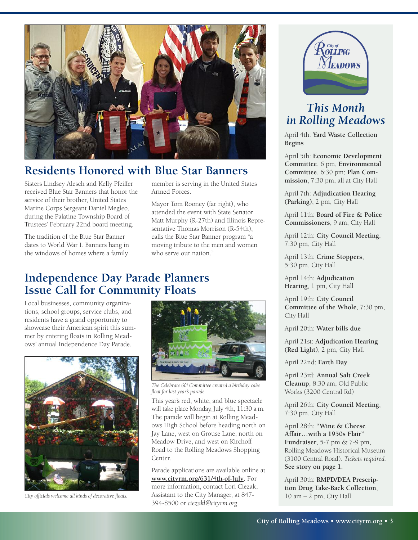

# **Residents Honored with Blue Star Banners**

Sisters Lindsey Alesch and Kelly Pfeiffer received Blue Star Banners that honor the service of their brother, United States Marine Corps Sergeant Daniel Megleo, during the Palatine Township Board of Trustees' February 22nd board meeting.

The tradition of the Blue Star Banner dates to World War I. Banners hang in the windows of homes where a family

member is serving in the United States Armed Forces.

Mayor Tom Rooney (far right), who attended the event with State Senator Matt Murphy (R-27th) and Illinois Representative Thomas Morrison (R-54th), calls the Blue Star Banner program "a moving tribute to the men and women who serve our nation."

### **Independence Day Parade Planners Issue Call for Community Floats**

Local businesses, community organizations, school groups, service clubs, and residents have a grand opportunity to showcase their American spirit this summer by entering floats in Rolling Meadows' annual Independence Day Parade.



*City officials welcome all kinds of decorative floats.*



*The Celebrate 60! Committee created a birthday cake float for last year's parade.*

This year's red, white, and blue spectacle will take place Monday, July 4th, 11:30 a.m. The parade will begin at Rolling Meadows High School before heading north on Jay Lane, west on Grouse Lane, north on Meadow Drive, and west on Kirchoff Road to the Rolling Meadows Shopping Center.

Parade applications are available online at **www.cityrm.org/631/4th-of-July**. For more information, contact Lori Ciezak, Assistant to the City Manager, at 847- 394-8500 or *ciezakl@cityrm.org*.



### *This Month in Rolling Meadows*

April 4th: **Yard Waste Collection Begins**

April 5th: **Economic Development Committee**, 6 pm, **Environmental Committee**, 6:30 pm; **Plan Commission**, 7:30 pm, all at City Hall

April 7th: **Adjudication Hearing (Parking)**, 2 pm, City Hall

April 11th: **Board of Fire & Police Commissioners**, 9 am, City Hall

April 12th: **City Council Meeting**, 7:30 pm, City Hall

April 13th: **Crime Stoppers**, 5:30 pm, City Hall

April 14th: **Adjudication Hearing**, 1 pm, City Hall

April 19th: **City Council Committee of the Whole**, 7:30 pm, City Hall

April 20th: **Water bills due**

April 21st: **Adjudication Hearing (Red Light)**, 2 pm, City Hall

April 22nd: **Earth Day**

April 23rd: **Annual Salt Creek Cleanup**, 8:30 am, Old Public Works (3200 Central Rd)

April 26th: **City Council Meeting**, 7:30 pm, City Hall

April 28th: **"Wine & Cheese Affair…with a 1950s Flair" Fundraiser**, 5-7 pm & 7-9 pm, Rolling Meadows Historical Museum (3100 Central Road). *Tickets required.* **See story on page 1.**

April 30th: **RMPD/DEA Prescription Drug Take-Back Collection**, 10 am – 2 pm, City Hall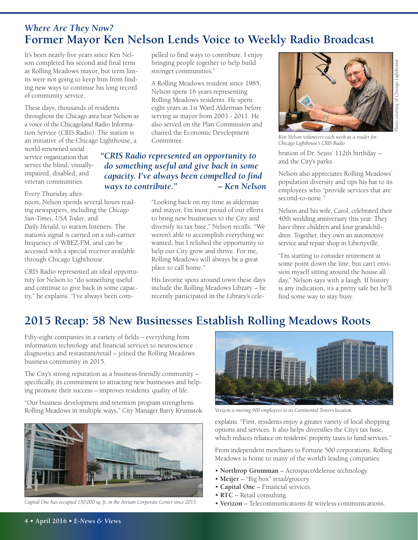#### *Where Are They Now?* **Former Mayor Ken Nelson Lends Voice to Weekly Radio Broadcast**

It's been nearly five years since Ken Nelson completed his second and final term as Rolling Meadows mayor, but term limits were not going to keep him from finding new ways to continue his long record of community service.

These days, thousands of residents throughout the Chicago area hear Nelson as a voice of the Chicagoland Radio Information Service (CRIS Radio). The station is an initiative of the Chicago Lighthouse, a

world-renowned social service organization that serves the blind, visuallyimpaired, disabled, and veteran communities.

Every Thursday after-

noon, Nelson spends several hours reading newspapers, including the *Chicago Sun-Times*, *USA Today*, and *Daily Herald*, to station listeners. The station's signal is carried on a sub-carrier frequency of WBEZ-FM, and can be accessed with a special receiver available through Chicago Lighthouse.

CRIS Radio represented an ideal opportunity for Nelson to "do something useful and continue to give back in some capacity," he explains. "I've always been com-

pelled to find ways to contribute. I enjoy bringing people together to help build stronger communities."

A Rolling Meadows resident since 1985, Nelson spent 16 years representing Rolling Meadows residents. He spent eight years as 1st Ward Alderman before serving as mayor from 2003 - 2011. He also served on the Plan Commission and chaired the Economic Development Committee.

#### *"CRIS Radio represented an opportunity to do something useful and give back in some capacity. I've always been compelled to find ways to contribute." – Ken Nelson*

"Looking back on my time as alderman and mayor, I'm most proud of our efforts to bring new businesses to the City and diversify its tax base," Nelson recalls. "We weren't able to accomplish everything we wanted, but I relished the opportunity to help our City grow and thrive. For me, Rolling Meadows will always be a great place to call home."

His favorite spots around town these days include the Rolling Meadows Library – he recently participated in the Library's cele-



*Ken Nelson volunteers each week as a reader for Chicago Lighthouse's CRIS Radio.*

bration of Dr. Seuss' 112th birthday – and the City's parks.

Nelson also appreciates Rolling Meadows' population diversity and tips his hat to its employees who "provide services that are second-to-none."

Nelson and his wife, Carol, celebrated their 40th wedding anniversary this year. They have three children and four grandchildren. Together, they own an automotive service and repair shop in Libertyville.

"I'm starting to consider retirement at some point down the line, but can't envision myself sitting around the house all day," Nelson says with a laugh. If history is any indication, it's a pretty safe bet he'll find some way to stay busy.

# **2015 Recap: 58 New Businesses Establish Rolling Meadows Roots**

Fifty-eight companies in a variety of fields – everything from information technology and financial services to neuroscience diagnostics and restaurant/retail – joined the Rolling Meadows business community in 2015.

The City's strong reputation as a business-friendly community – specifically, its commitment to attracting new businesses and helping promote their success – improves residents' quality of life.

"Our business development and retention program strengthens Rolling Meadows in multiple ways," City Manager Barry Krumstok



*Capital One has occupied 150,000 sq. ft. in the Atrium Corporate Center since 2013.*



*Verizon is moving 900 employees to its Continental Towers location.*

explains. "First, residents enjoy a greater variety of local shopping options and services. It also helps diversifies the City's tax base, which reduces reliance on residents' property taxes to fund services."

From independent merchants to Fortune 500 corporations, Rolling Meadows is home to many of the world's leading companies:

- **Northrop Grumman** Aerospace/defense technology.
- **Meijer** "Big box" retail/grocery.
- **Capital One** Financial services.
- **RTC** Retail consulting.
- **Verizon** Telecommunications & wireless communications.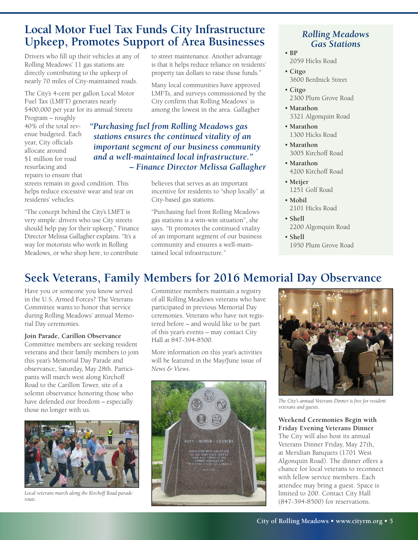### **Local Motor Fuel Tax Funds City Infrastructure Upkeep, Promotes Support of Area Businesses**

Drivers who fill up their vehicles at any of Rolling Meadows' 11 gas stations are directly contributing to the upkeep of nearly 70 miles of City-maintained roads.

The City's 4-cent per gallon Local Motor Fuel Tax (LMFT) generates nearly \$400,000 per year for its annual Streets

Program – roughly 40% of the total revenue budgeted. Each year, City officials allocate around \$1 million for road resurfacing and repairs to ensure that

streets remain in good condition. This helps reduce excessive wear and tear on residents' vehicles.

"The concept behind the City's LMFT is very simple: drivers who use City streets should help pay for their upkeep," Finance Director Melissa Gallagher explains. "It's a way for motorists who work in Rolling Meadows, or who shop here, to contribute

to street maintenance. Another advantage is that it helps reduce reliance on residents' property tax dollars to raise those funds."

Many local communities have approved LMFTs, and surveys commissioned by the City confirm that Rolling Meadows' is among the lowest in the area. Gallagher

*"Purchasing fuel from Rolling Meadows gas stations ensures the continued vitality of an important segment of our business community and a well-maintained local infrastructure." – Finance Director Melissa Gallagher*

> believes that serves as an important incentive for residents to "shop locally" at City-based gas stations.

"Purchasing fuel from Rolling Meadows gas stations is a win-win situation", she says. "It promotes the continued vitality of an important segment of our business community and ensures a well-maintained local infrastructure."

#### *Rolling Meadows Gas Stations*

- **BP**
	- 2059 Hicks Road
- **Citgo** 3600 Berdnick Street
- **Citgo** 2300 Plum Grove Road
- **Marathon** 3321 Algonquin Road
- **Marathon** 1300 Hicks Road
- **Marathon** 3005 Kirchoff Road
- **Marathon** 4200 Kirchoff Road
- **Meijer** 1251 Golf Road
- **Mobil** 2101 Hicks Road
- **Shell** 2200 Algonquin Road
- **Shell** 1950 Plum Grove Road

# **Seek Veterans, Family Members for 2016 Memorial Day Observance**

Have you or someone you know served in the U.S. Armed Forces? The Veterans Committee wants to honor that service during Rolling Meadows' annual Memorial Day ceremonies.

#### **Join Parade, Carillon Observance**

Committee members are seeking resident veterans and their family members to join this year's Memorial Day Parade and observance, Saturday, May 28th. Participants will march west along Kirchoff Road to the Carillon Tower, site of a solemn observance honoring those who have defended our freedom – especially those no longer with us.



*Local veterans march along the Kirchoff Road parade route.*

Committee members maintain a registry of all Rolling Meadows veterans who have participated in previous Memorial Day ceremonies. Veterans who have not registered before – and would like to be part of this year's events – may contact City Hall at 847-394-8500.

More information on this year's activities will be featured in the May/June issue of *News & Views*.





*The City's annual Veterans Dinner is free for resident veterans and guests.*

**Weekend Ceremonies Begin with Friday Evening Veterans Dinner** The City will also host its annual Veterans Dinner Friday, May 27th, at Meridian Banquets (1701 West Algonquin Road). The dinner offers a chance for local veterans to reconnect with fellow service members. Each attendee may bring a guest. Space is limited to 200. Contact City Hall (847-394-8500) for reservations.